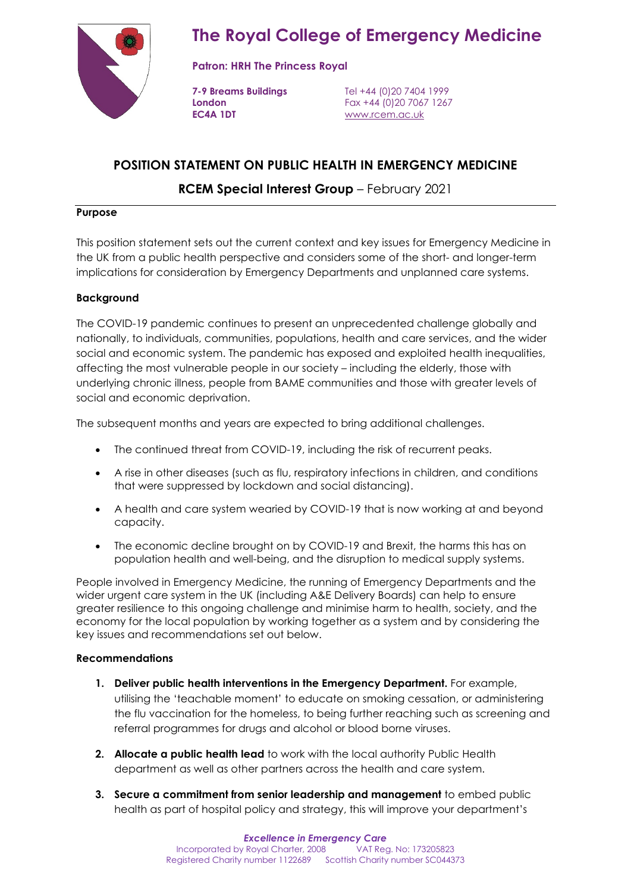

**Patron: HRH The Princess Royal**

**EC4A 1DT** [www.rcem.ac.uk](http://www.rcem.ac.uk/)

**7-9 Breams Buildings** Tel +44 (0)20 7404 1999 **London** Fax +44 (0)20 7067 1267

# **POSITION STATEMENT ON PUBLIC HEALTH IN EMERGENCY MEDICINE**

# **RCEM Special Interest Group** – February 2021

### **Purpose**

This position statement sets out the current context and key issues for Emergency Medicine in the UK from a public health perspective and considers some of the short- and longer-term implications for consideration by Emergency Departments and unplanned care systems.

### **Background**

The COVID-19 pandemic continues to present an unprecedented challenge globally and nationally, to individuals, communities, populations, health and care services, and the wider social and economic system. The pandemic has exposed and exploited health inequalities, affecting the most vulnerable people in our society – including the elderly, those with underlying chronic illness, people from BAME communities and those with greater levels of social and economic deprivation.

The subsequent months and years are expected to bring additional challenges.

- The continued threat from COVID-19, including the risk of recurrent peaks.
- A rise in other diseases (such as flu, respiratory infections in children, and conditions that were suppressed by lockdown and social distancing).
- A health and care system wearied by COVID-19 that is now working at and beyond capacity.
- The economic decline brought on by COVID-19 and Brexit, the harms this has on population health and well-being, and the disruption to medical supply systems.

People involved in Emergency Medicine, the running of Emergency Departments and the wider urgent care system in the UK (including A&E Delivery Boards) can help to ensure greater resilience to this ongoing challenge and minimise harm to health, society, and the economy for the local population by working together as a system and by considering the key issues and recommendations set out below.

#### **Recommendations**

- **1. Deliver public health interventions in the Emergency Department.** For example, utilising the 'teachable moment' to educate on smoking cessation, or administering the flu vaccination for the homeless, to being further reaching such as screening and referral programmes for drugs and alcohol or blood borne viruses.
- **2. Allocate a public health lead** to work with the local authority Public Health department as well as other partners across the health and care system.
- **3. Secure a commitment from senior leadership and management** to embed public health as part of hospital policy and strategy, this will improve your department's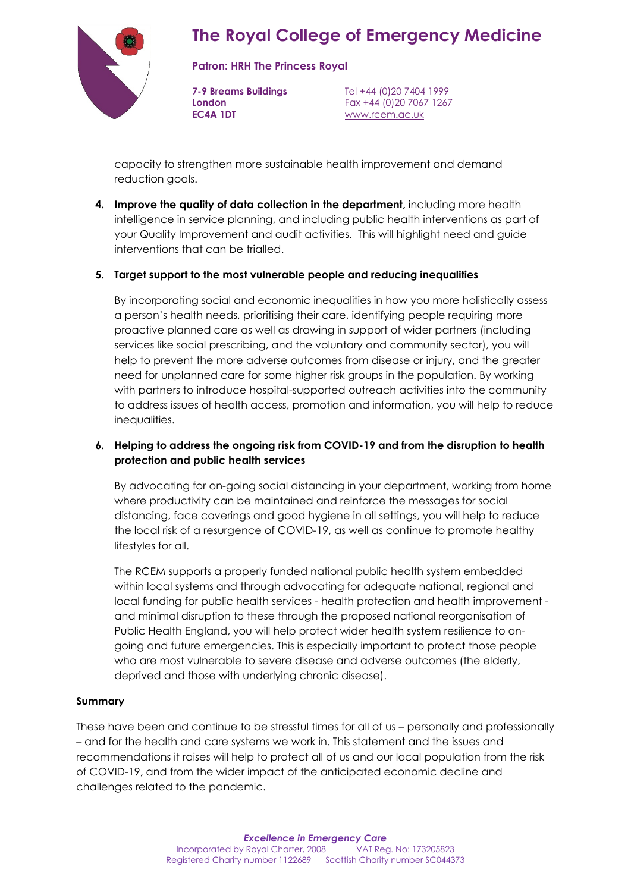

#### **Patron: HRH The Princess Royal**

**EC4A 1DT** [www.rcem.ac.uk](http://www.rcem.ac.uk/)

**7-9 Breams Buildings** Tel +44 (0)20 7404 1999 **London** Fax +44 (0)20 7067 1267

capacity to strengthen more sustainable health improvement and demand reduction goals.

**4. Improve the quality of data collection in the department,** including more health intelligence in service planning, and including public health interventions as part of your Quality Improvement and audit activities. This will highlight need and guide interventions that can be trialled.

### **5. Target support to the most vulnerable people and reducing inequalities**

By incorporating social and economic inequalities in how you more holistically assess a person's health needs, prioritising their care, identifying people requiring more proactive planned care as well as drawing in support of wider partners (including services like social prescribing, and the voluntary and community sector), you will help to prevent the more adverse outcomes from disease or injury, and the greater need for unplanned care for some higher risk groups in the population. By working with partners to introduce hospital-supported outreach activities into the community to address issues of health access, promotion and information, you will help to reduce inequalities.

### **6. Helping to address the ongoing risk from COVID-19 and from the disruption to health protection and public health services**

By advocating for on-going social distancing in your department, working from home where productivity can be maintained and reinforce the messages for social distancing, face coverings and good hygiene in all settings, you will help to reduce the local risk of a resurgence of COVID-19, as well as continue to promote healthy lifestyles for all.

The RCEM supports a properly funded national public health system embedded within local systems and through advocating for adequate national, regional and local funding for public health services - health protection and health improvement and minimal disruption to these through the proposed national reorganisation of Public Health England, you will help protect wider health system resilience to ongoing and future emergencies. This is especially important to protect those people who are most vulnerable to severe disease and adverse outcomes (the elderly, deprived and those with underlying chronic disease).

#### **Summary**

These have been and continue to be stressful times for all of us – personally and professionally – and for the health and care systems we work in. This statement and the issues and recommendations it raises will help to protect all of us and our local population from the risk of COVID-19, and from the wider impact of the anticipated economic decline and challenges related to the pandemic.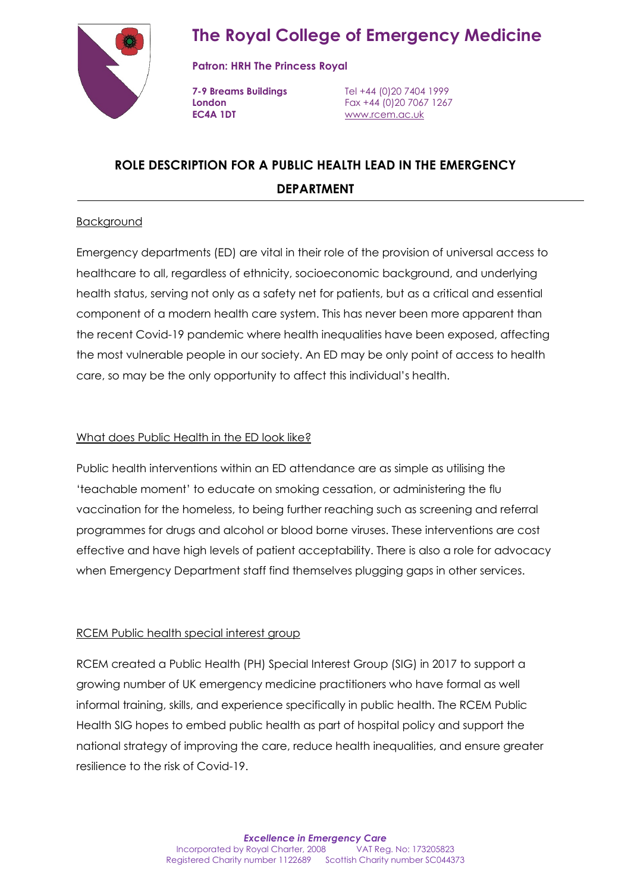

**Patron: HRH The Princess Royal**

**EC4A 1DT** [www.rcem.ac.uk](http://www.rcem.ac.uk/)

**7-9 Breams Buildings** Tel +44 (0)20 7404 1999 **London** Fax +44 (0)20 7067 1267

# **ROLE DESCRIPTION FOR A PUBLIC HEALTH LEAD IN THE EMERGENCY DEPARTMENT**

## **Background**

Emergency departments (ED) are vital in their role of the provision of universal access to healthcare to all, regardless of ethnicity, socioeconomic background, and underlying health status, serving not only as a safety net for patients, but as a critical and essential component of a modern health care system. This has never been more apparent than the recent Covid-19 pandemic where health inequalities have been exposed, affecting the most vulnerable people in our society. An ED may be only point of access to health care, so may be the only opportunity to affect this individual's health.

## What does Public Health in the ED look like?

Public health interventions within an ED attendance are as simple as utilising the 'teachable moment' to educate on smoking cessation, or administering the flu vaccination for the homeless, to being further reaching such as screening and referral programmes for drugs and alcohol or blood borne viruses. These interventions are cost effective and have high levels of patient acceptability. There is also a role for advocacy when Emergency Department staff find themselves plugging gaps in other services.

## RCEM Public health special interest group

RCEM created a Public Health (PH) Special Interest Group (SIG) in 2017 to support a growing number of UK emergency medicine practitioners who have formal as well informal training, skills, and experience specifically in public health. The RCEM Public Health SIG hopes to embed public health as part of hospital policy and support the national strategy of improving the care, reduce health inequalities, and ensure greater resilience to the risk of Covid-19.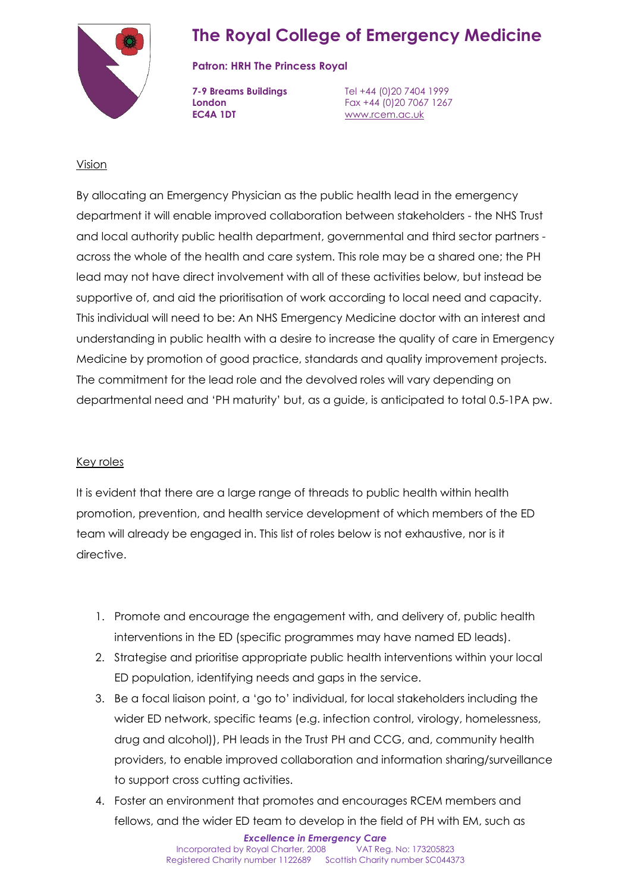

## **Patron: HRH The Princess Royal**

**EC4A 1DT** [www.rcem.ac.uk](http://www.rcem.ac.uk/)

**7-9 Breams Buildings** Tel +44 (0)20 7404 1999 **London** Fax +44 (0)20 7067 1267

## Vision

By allocating an Emergency Physician as the public health lead in the emergency department it will enable improved collaboration between stakeholders - the NHS Trust and local authority public health department, governmental and third sector partners across the whole of the health and care system. This role may be a shared one; the PH lead may not have direct involvement with all of these activities below, but instead be supportive of, and aid the prioritisation of work according to local need and capacity. This individual will need to be: An NHS Emergency Medicine doctor with an interest and understanding in public health with a desire to increase the quality of care in Emergency Medicine by promotion of good practice, standards and quality improvement projects. The commitment for the lead role and the devolved roles will vary depending on departmental need and 'PH maturity' but, as a guide, is anticipated to total 0.5-1PA pw.

## Key roles

It is evident that there are a large range of threads to public health within health promotion, prevention, and health service development of which members of the ED team will already be engaged in. This list of roles below is not exhaustive, nor is it directive.

- 1. Promote and encourage the engagement with, and delivery of, public health interventions in the ED (specific programmes may have named ED leads).
- 2. Strategise and prioritise appropriate public health interventions within your local ED population, identifying needs and gaps in the service.
- 3. Be a focal liaison point, a 'go to' individual, for local stakeholders including the wider ED network, specific teams (e.g. infection control, virology, homelessness, drug and alcohol)), PH leads in the Trust PH and CCG, and, community health providers, to enable improved collaboration and information sharing/surveillance to support cross cutting activities.
- 4. Foster an environment that promotes and encourages RCEM members and fellows, and the wider ED team to develop in the field of PH with EM, such as